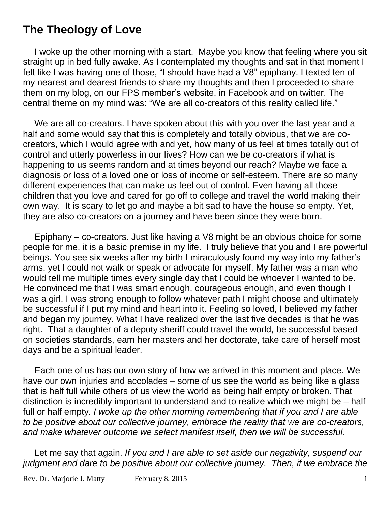## **The Theology of Love**

I woke up the other morning with a start. Maybe you know that feeling where you sit straight up in bed fully awake. As I contemplated my thoughts and sat in that moment I felt like I was having one of those, "I should have had a V8" epiphany. I texted ten of my nearest and dearest friends to share my thoughts and then I proceeded to share them on my blog, on our FPS member's website, in Facebook and on twitter. The central theme on my mind was: "We are all co-creators of this reality called life."

We are all co-creators. I have spoken about this with you over the last year and a half and some would say that this is completely and totally obvious, that we are cocreators, which I would agree with and yet, how many of us feel at times totally out of control and utterly powerless in our lives? How can we be co-creators if what is happening to us seems random and at times beyond our reach? Maybe we face a diagnosis or loss of a loved one or loss of income or self-esteem. There are so many different experiences that can make us feel out of control. Even having all those children that you love and cared for go off to college and travel the world making their own way. It is scary to let go and maybe a bit sad to have the house so empty. Yet, they are also co-creators on a journey and have been since they were born.

Epiphany – co-creators. Just like having a V8 might be an obvious choice for some people for me, it is a basic premise in my life. I truly believe that you and I are powerful beings. You see six weeks after my birth I miraculously found my way into my father's arms, yet I could not walk or speak or advocate for myself. My father was a man who would tell me multiple times every single day that I could be whoever I wanted to be. He convinced me that I was smart enough, courageous enough, and even though I was a girl, I was strong enough to follow whatever path I might choose and ultimately be successful if I put my mind and heart into it. Feeling so loved, I believed my father and began my journey. What I have realized over the last five decades is that he was right. That a daughter of a deputy sheriff could travel the world, be successful based on societies standards, earn her masters and her doctorate, take care of herself most days and be a spiritual leader.

Each one of us has our own story of how we arrived in this moment and place. We have our own injuries and accolades – some of us see the world as being like a glass that is half full while others of us view the world as being half empty or broken. That distinction is incredibly important to understand and to realize which we might be – half full or half empty. *I woke up the other morning remembering that if you and I are able to be positive about our collective journey, embrace the reality that we are co-creators, and make whatever outcome we select manifest itself, then we will be successful.*

Let me say that again. *If you and I are able to set aside our negativity, suspend our judgment and dare to be positive about our collective journey. Then, if we embrace the*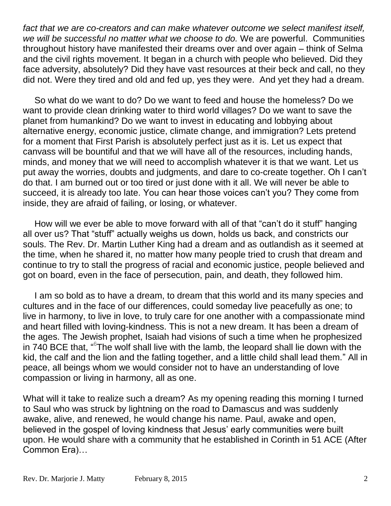*fact that we are co-creators and can make whatever outcome we select manifest itself, we will be successful no matter what we choose to do.* We are powerful. Communities throughout history have manifested their dreams over and over again – think of Selma and the civil rights movement. It began in a church with people who believed. Did they face adversity, absolutely? Did they have vast resources at their beck and call, no they did not. Were they tired and old and fed up, yes they were. And yet they had a dream.

So what do we want to do? Do we want to feed and house the homeless? Do we want to provide clean drinking water to third world villages? Do we want to save the planet from humankind? Do we want to invest in educating and lobbying about alternative energy, economic justice, climate change, and immigration? Lets pretend for a moment that First Parish is absolutely perfect just as it is. Let us expect that canvass will be bountiful and that we will have all of the resources, including hands, minds, and money that we will need to accomplish whatever it is that we want. Let us put away the worries, doubts and judgments, and dare to co-create together. Oh I can't do that. I am burned out or too tired or just done with it all. We will never be able to succeed, it is already too late. You can hear those voices can't you? They come from inside, they are afraid of failing, or losing, or whatever.

How will we ever be able to move forward with all of that "can't do it stuff" hanging all over us? That "stuff" actually weighs us down, holds us back, and constricts our souls. The Rev. Dr. Martin Luther King had a dream and as outlandish as it seemed at the time, when he shared it, no matter how many people tried to crush that dream and continue to try to stall the progress of racial and economic justice, people believed and got on board, even in the face of persecution, pain, and death, they followed him.

I am so bold as to have a dream, to dream that this world and its many species and cultures and in the face of our differences, could someday live peacefully as one; to live in harmony, to live in love, to truly care for one another with a compassionate mind and heart filled with loving-kindness. This is not a new dream. It has been a dream of the ages. The Jewish prophet, Isaiah had visions of such a time when he prophesized in 740 BCE that, "<sup>6</sup>The wolf shall live with the lamb, the leopard shall lie down with the kid, the calf and the lion and the fatling together, and a little child shall lead them." All in peace, all beings whom we would consider not to have an understanding of love compassion or living in harmony, all as one.

What will it take to realize such a dream? As my opening reading this morning I turned to Saul who was struck by lightning on the road to Damascus and was suddenly awake, alive, and renewed, he would change his name. Paul, awake and open, believed in the gospel of loving kindness that Jesus' early communities were built upon. He would share with a community that he established in Corinth in 51 ACE (After Common Era)…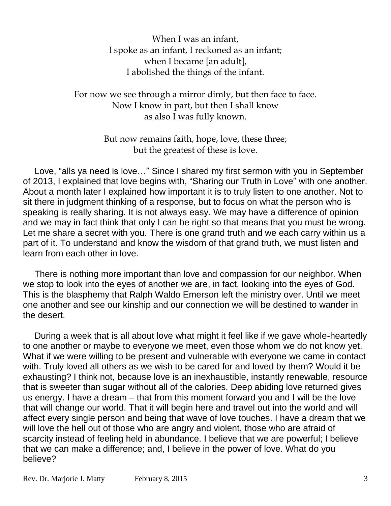When I was an infant, I spoke as an infant, I reckoned as an infant; when I became [an adult], I abolished the things of the infant.

For now we see through a mirror dimly, but then face to face. Now I know in part, but then I shall know as also I was fully known.

> But now remains faith, hope, love, these three; but the greatest of these is love.

Love, "alls ya need is love…" Since I shared my first sermon with you in September of 2013, I explained that love begins with, "Sharing our Truth in Love" with one another. About a month later I explained how important it is to truly listen to one another. Not to sit there in judgment thinking of a response, but to focus on what the person who is speaking is really sharing. It is not always easy. We may have a difference of opinion and we may in fact think that only I can be right so that means that you must be wrong. Let me share a secret with you. There is one grand truth and we each carry within us a part of it. To understand and know the wisdom of that grand truth, we must listen and learn from each other in love.

There is nothing more important than love and compassion for our neighbor. When we stop to look into the eyes of another we are, in fact, looking into the eyes of God. This is the blasphemy that Ralph Waldo Emerson left the ministry over. Until we meet one another and see our kinship and our connection we will be destined to wander in the desert.

During a week that is all about love what might it feel like if we gave whole-heartedly to one another or maybe to everyone we meet, even those whom we do not know yet. What if we were willing to be present and vulnerable with everyone we came in contact with. Truly loved all others as we wish to be cared for and loved by them? Would it be exhausting? I think not, because love is an inexhaustible, instantly renewable, resource that is sweeter than sugar without all of the calories. Deep abiding love returned gives us energy. I have a dream – that from this moment forward you and I will be the love that will change our world. That it will begin here and travel out into the world and will affect every single person and being that wave of love touches. I have a dream that we will love the hell out of those who are angry and violent, those who are afraid of scarcity instead of feeling held in abundance. I believe that we are powerful; I believe that we can make a difference; and, I believe in the power of love. What do you believe?